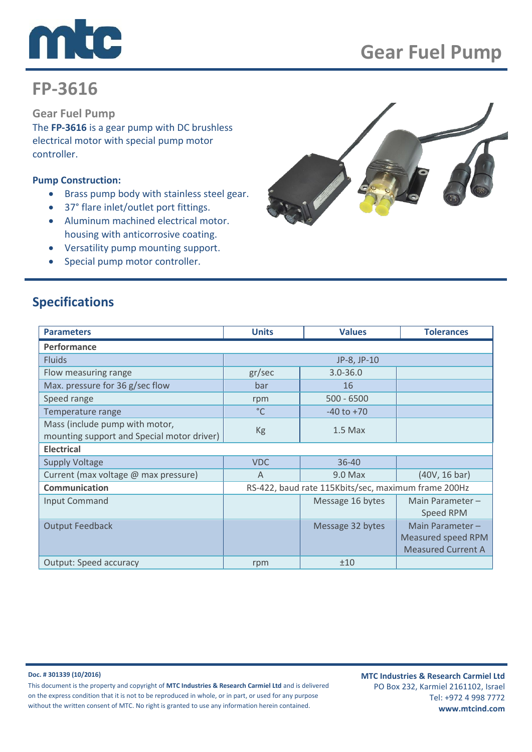

# **FP-3616**

**Gear Fuel Pump**

The **FP-3616** is a gear pump with DC brushless electrical motor with special pump motor controller.

### **Pump Construction:**

- Brass pump body with stainless steel gear.
- 37° flare inlet/outlet port fittings.
- Aluminum machined electrical motor. housing with anticorrosive coating.
- Versatility pump mounting support.
- Special pump motor controller.



## **Specifications**

| <b>Parameters</b>                          | <b>Units</b>                                        | <b>Values</b>    | <b>Tolerances</b>         |
|--------------------------------------------|-----------------------------------------------------|------------------|---------------------------|
| Performance                                |                                                     |                  |                           |
| <b>Fluids</b>                              |                                                     | JP-8, JP-10      |                           |
| Flow measuring range                       | gr/sec                                              | $3.0 - 36.0$     |                           |
| Max. pressure for 36 g/sec flow            | bar                                                 | 16               |                           |
| Speed range                                | rpm                                                 | $500 - 6500$     |                           |
| Temperature range                          | $^{\circ}$ C                                        | $-40$ to $+70$   |                           |
| Mass (include pump with motor,             | Kg                                                  | $1.5$ Max        |                           |
| mounting support and Special motor driver) |                                                     |                  |                           |
| <b>Electrical</b>                          |                                                     |                  |                           |
| <b>Supply Voltage</b>                      | <b>VDC</b>                                          | 36-40            |                           |
| Current (max voltage @ max pressure)       | A                                                   | 9.0 Max          | (40V, 16 bar)             |
| Communication                              | RS-422, baud rate 115Kbits/sec, maximum frame 200Hz |                  |                           |
| Input Command                              |                                                     | Message 16 bytes | Main Parameter $-$        |
|                                            |                                                     |                  | Speed RPM                 |
| <b>Output Feedback</b>                     |                                                     | Message 32 bytes | Main Parameter-           |
|                                            |                                                     |                  | Measured speed RPM        |
|                                            |                                                     |                  | <b>Measured Current A</b> |
| <b>Output: Speed accuracy</b>              | rpm                                                 | ±10              |                           |

#### **Doc. # 301339 (10/2016)**

This document is the property and copyright of **MTC Industries & Research Carmiel Ltd** and is delivered on the express condition that it is not to be reproduced in whole, or in part, or used for any purpose without the written consent of MTC. No right is granted to use any information herein contained.

**MTC Industries & Research Carmiel Ltd** PO Box 232, Karmiel 2161102, Israel Tel: +972 4 998 7772 **www.mtcind.com**